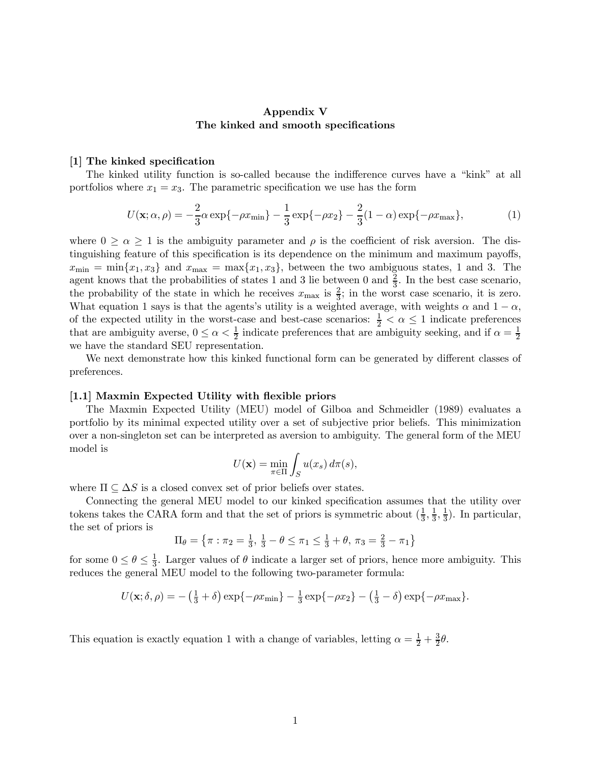# Appendix V The kinked and smooth specifications

#### [1] The kinked specification

The kinked utility function is so-called because the indifference curves have a "kink" at all portfolios where  $x_1 = x_3$ . The parametric specification we use has the form

$$
U(\mathbf{x}; \alpha, \rho) = -\frac{2}{3}\alpha \exp\{-\rho x_{\min}\} - \frac{1}{3}\exp\{-\rho x_2\} - \frac{2}{3}(1-\alpha)\exp\{-\rho x_{\max}\},\tag{1}
$$

where  $0 \ge \alpha \ge 1$  is the ambiguity parameter and  $\rho$  is the coefficient of risk aversion. The distinguishing feature of this specification is its dependence on the minimum and maximum payoffs,  $x_{\min} = \min\{x_1, x_3\}$  and  $x_{\max} = \max\{x_1, x_3\}$ , between the two ambiguous states, 1 and 3. The agent knows that the probabilities of states 1 and 3 lie between 0 and  $\frac{2}{3}$ . In the best case scenario, the probability of the state in which he receives  $x_{\text{max}}$  is  $\frac{2}{3}$ ; in the worst case scenario, it is zero. What equation 1 says is that the agents's utility is a weighted average, with weights  $\alpha$  and  $1 - \alpha$ , of the expected utility in the worst-case and best-case scenarios:  $\frac{1}{2} < \alpha \leq 1$  indicate preferences that are ambiguity averse,  $0 \le \alpha < \frac{1}{2}$  indicate preferences that are ambiguity seeking, and if  $\alpha = \frac{1}{2}$ we have the standard SEU representation.

We next demonstrate how this kinked functional form can be generated by different classes of preferences.

### [1.1] Maxmin Expected Utility with flexible priors

The Maxmin Expected Utility (MEU) model of Gilboa and Schmeidler (1989) evaluates a portfolio by its minimal expected utility over a set of subjective prior beliefs. This minimization over a non-singleton set can be interpreted as aversion to ambiguity. The general form of the MEU model is

$$
U(\mathbf{x}) = \min_{\pi \in \Pi} \int_{S} u(x_s) d\pi(s),
$$

where  $\Pi \subseteq \Delta S$  is a closed convex set of prior beliefs over states.

Connecting the general MEU model to our kinked specification assumes that the utility over tokens takes the CARA form and that the set of priors is symmetric about  $(\frac{1}{3}, \frac{1}{3}, \frac{1}{3})$ . In particular, the set of priors is

$$
\Pi_{\theta} = \left\{ \pi : \pi_2 = \frac{1}{3}, \frac{1}{3} - \theta \le \pi_1 \le \frac{1}{3} + \theta, \pi_3 = \frac{2}{3} - \pi_1 \right\}
$$

for some  $0 \le \theta \le \frac{1}{3}$ . Larger values of  $\theta$  indicate a larger set of priors, hence more ambiguity. This reduces the general MEU model to the following two-parameter formula:

$$
U(\mathbf{x}; \delta, \rho) = -(\frac{1}{3} + \delta) \exp\{-\rho x_{\min}\} - \frac{1}{3} \exp\{-\rho x_2\} - (\frac{1}{3} - \delta) \exp\{-\rho x_{\max}\}.
$$

This equation is exactly equation 1 with a change of variables, letting  $\alpha = \frac{1}{2} + \frac{3}{2}\theta$ .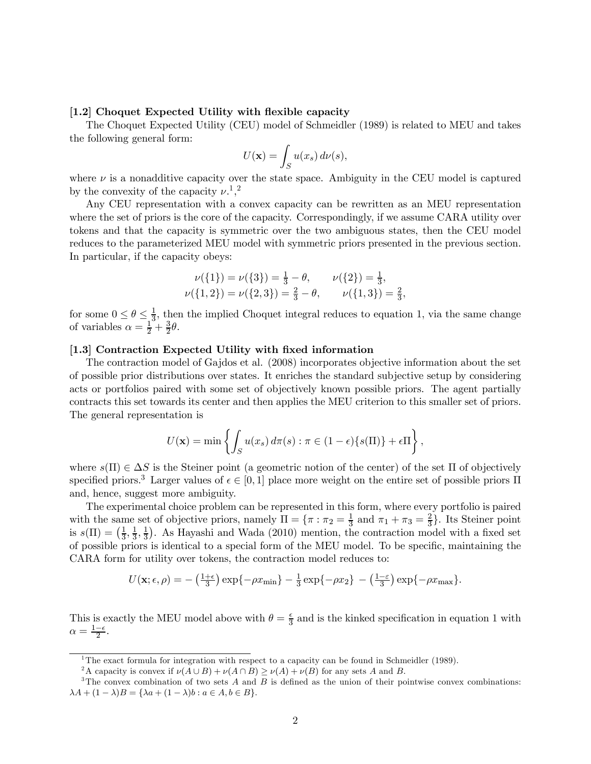## [1.2] Choquet Expected Utility with flexible capacity

The Choquet Expected Utility (CEU) model of Schmeidler (1989) is related to MEU and takes the following general form:

$$
U(\mathbf{x}) = \int_{S} u(x_s) d\nu(s),
$$

where  $\nu$  is a nonadditive capacity over the state space. Ambiguity in the CEU model is captured by the convexity of the capacity  $\nu^{1,2}$ .

Any CEU representation with a convex capacity can be rewritten as an MEU representation where the set of priors is the core of the capacity. Correspondingly, if we assume CARA utility over tokens and that the capacity is symmetric over the two ambiguous states, then the CEU model reduces to the parameterized MEU model with symmetric priors presented in the previous section. In particular, if the capacity obeys:

$$
\nu({1}) = \nu({3}) = \frac{1}{3} - \theta, \qquad \nu({2}) = \frac{1}{3}, \n\nu({1,2}) = \nu({2,3}) = \frac{2}{3} - \theta, \qquad \nu({1,3}) = \frac{2}{3},
$$

for some  $0 \le \theta \le \frac{1}{3}$ , then the implied Choquet integral reduces to equation 1, via the same change of variables  $\alpha = \frac{1}{2} + \frac{3}{2}\theta$ .

## [1.3] Contraction Expected Utility with fixed information

The contraction model of Gajdos et al. (2008) incorporates objective information about the set of possible prior distributions over states. It enriches the standard subjective setup by considering acts or portfolios paired with some set of objectively known possible priors. The agent partially contracts this set towards its center and then applies the MEU criterion to this smaller set of priors. The general representation is

$$
U(\mathbf{x}) = \min \left\{ \int_S u(x_s) d\pi(s) : \pi \in (1 - \epsilon) \{s(\Pi)\} + \epsilon \Pi \right\},\,
$$

where  $s(\Pi) \in \Delta S$  is the Steiner point (a geometric notion of the center) of the set  $\Pi$  of objectively specified priors.<sup>3</sup> Larger values of  $\epsilon \in [0,1]$  place more weight on the entire set of possible priors  $\Pi$ and, hence, suggest more ambiguity.

The experimental choice problem can be represented in this form, where every portfolio is paired with the same set of objective priors, namely  $\Pi = \{\pi : \pi_2 = \frac{1}{3} \text{ and } \pi_1 + \pi_3 = \frac{2}{3}\}\.$  Its Steiner point is  $s(\Pi) = \left(\frac{1}{3}, \frac{1}{3}, \frac{1}{3}\right)$ . As Hayashi and Wada (2010) mention, the contraction model with a fixed set of possible priors is identical to a special form of the MEU model. To be specific, maintaining the CARA form for utility over tokens, the contraction model reduces to:

$$
U(\mathbf{x};\epsilon,\rho) = -\left(\frac{1+\epsilon}{3}\right) \exp\{-\rho x_{\min}\} - \frac{1}{3} \exp\{-\rho x_2\} - \left(\frac{1-\epsilon}{3}\right) \exp\{-\rho x_{\max}\}.
$$

This is exactly the MEU model above with  $\theta = \frac{\epsilon}{3}$  and is the kinked specification in equation 1 with  $\alpha = \frac{1-\epsilon}{2}.$ 

<sup>&</sup>lt;sup>1</sup>The exact formula for integration with respect to a capacity can be found in Schmeidler (1989).<br><sup>2</sup>A capacity is convex if  $\nu(A \cup B) + \nu(A \cap B) \ge \nu(A) + \nu(B)$  for any sets A and B.

<sup>&</sup>lt;sup>3</sup>The convex combination of two sets  $A$  and  $B$  is defined as the union of their pointwise convex combinations:  $\lambda A + (1 - \lambda)B = {\lambda a + (1 - \lambda)b : a \in A, b \in B}.$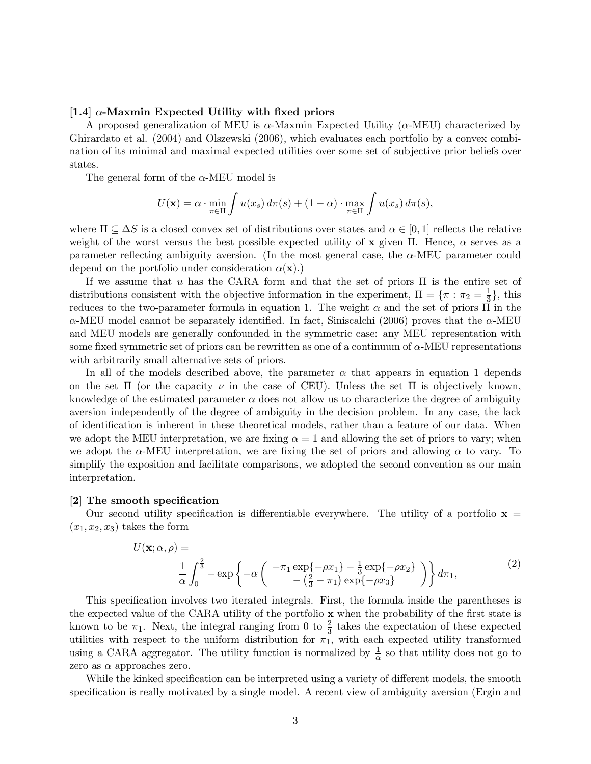### [1.4]  $\alpha$ -Maxmin Expected Utility with fixed priors

A proposed generalization of MEU is  $\alpha$ -Maxmin Expected Utility ( $\alpha$ -MEU) characterized by Ghirardato et al. (2004) and Olszewski (2006), which evaluates each portfolio by a convex combination of its minimal and maximal expected utilities over some set of subjective prior beliefs over states.

The general form of the  $\alpha$ -MEU model is

$$
U(\mathbf{x}) = \alpha \cdot \min_{\pi \in \Pi} \int u(x_s) d\pi(s) + (1 - \alpha) \cdot \max_{\pi \in \Pi} \int u(x_s) d\pi(s),
$$

where  $\Pi \subseteq \Delta S$  is a closed convex set of distributions over states and  $\alpha \in [0,1]$  reflects the relative weight of the worst versus the best possible expected utility of x given  $\Pi$ . Hence,  $\alpha$  serves as a parameter reflecting ambiguity aversion. (In the most general case, the  $\alpha$ -MEU parameter could depend on the portfolio under consideration  $\alpha(\mathbf{x})$ .)

If we assume that  $u$  has the CARA form and that the set of priors  $\Pi$  is the entire set of distributions consistent with the objective information in the experiment,  $\Pi = \{\pi : \pi_2 = \frac{1}{3}\}\$ , this reduces to the two-parameter formula in equation 1. The weight  $\alpha$  and the set of priors  $\Pi$  in the  $\alpha$ -MEU model cannot be separately identified. In fact, Siniscalchi (2006) proves that the  $\alpha$ -MEU and MEU models are generally confounded in the symmetric case: any MEU representation with some fixed symmetric set of priors can be rewritten as one of a continuum of  $\alpha$ -MEU representations with arbitrarily small alternative sets of priors.

In all of the models described above, the parameter  $\alpha$  that appears in equation 1 depends on the set  $\Pi$  (or the capacity  $\nu$  in the case of CEU). Unless the set  $\Pi$  is objectively known, knowledge of the estimated parameter  $\alpha$  does not allow us to characterize the degree of ambiguity aversion independently of the degree of ambiguity in the decision problem. In any case, the lack of identification is inherent in these theoretical models, rather than a feature of our data. When we adopt the MEU interpretation, we are fixing  $\alpha = 1$  and allowing the set of priors to vary; when we adopt the  $\alpha$ -MEU interpretation, we are fixing the set of priors and allowing  $\alpha$  to vary. To simplify the exposition and facilitate comparisons, we adopted the second convention as our main interpretation.

#### [2] The smooth specification

Our second utility specification is differentiable everywhere. The utility of a portfolio  $x =$  $(x_1, x_2, x_3)$  takes the form

$$
U(\mathbf{x}; \alpha, \rho) = \frac{1}{\alpha} \int_0^{\frac{2}{3}} -\exp\left\{-\alpha \left( \begin{array}{c} -\pi_1 \exp\{-\rho x_1\} - \frac{1}{3} \exp\{-\rho x_2\} \\ -\left(\frac{2}{3} - \pi_1\right) \exp\{-\rho x_3\} \end{array} \right) \right\} d\pi_1,
$$
 (2)

This specification involves two iterated integrals. First, the formula inside the parentheses is the expected value of the CARA utility of the portfolio  $x$  when the probability of the first state is known to be  $\pi_1$ . Next, the integral ranging from 0 to  $\frac{2}{3}$  takes the expectation of these expected utilities with respect to the uniform distribution for  $\pi_1$ , with each expected utility transformed using a CARA aggregator. The utility function is normalized by  $\frac{1}{\alpha}$  so that utility does not go to zero as  $\alpha$  approaches zero.

While the kinked specification can be interpreted using a variety of different models, the smooth specification is really motivated by a single model. A recent view of ambiguity aversion (Ergin and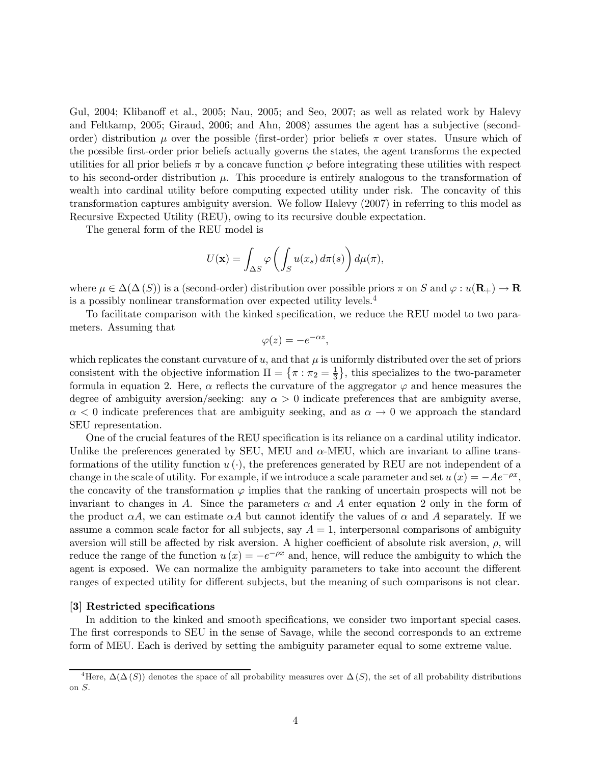Gul, 2004; Klibanoff et al., 2005; Nau, 2005; and Seo, 2007; as well as related work by Halevy and Feltkamp, 2005; Giraud, 2006; and Ahn, 2008) assumes the agent has a subjective (secondorder) distribution  $\mu$  over the possible (first-order) prior beliefs  $\pi$  over states. Unsure which of the possible first-order prior beliefs actually governs the states, the agent transforms the expected utilities for all prior beliefs  $\pi$  by a concave function  $\varphi$  before integrating these utilities with respect to his second-order distribution  $\mu$ . This procedure is entirely analogous to the transformation of wealth into cardinal utility before computing expected utility under risk. The concavity of this transformation captures ambiguity aversion. We follow Halevy (2007) in referring to this model as Recursive Expected Utility (REU), owing to its recursive double expectation.

The general form of the REU model is

$$
U(\mathbf{x}) = \int_{\Delta S} \varphi \left( \int_S u(x_s) \, d\pi(s) \right) d\mu(\pi),
$$

where  $\mu \in \Delta(\Delta(S))$  is a (second-order) distribution over possible priors  $\pi$  on S and  $\varphi : u(\mathbf{R}_{+}) \to \mathbf{R}$ is a possibly nonlinear transformation over expected utility levels.4

To facilitate comparison with the kinked specification, we reduce the REU model to two parameters. Assuming that

$$
\varphi(z) = -e^{-\alpha z},
$$

which replicates the constant curvature of  $u$ , and that  $\mu$  is uniformly distributed over the set of priors consistent with the objective information  $\Pi = \{\pi : \pi_2 = \frac{1}{3}\},\$  this specializes to the two-parameter formula in equation 2. Here,  $\alpha$  reflects the curvature of the aggregator  $\varphi$  and hence measures the degree of ambiguity aversion/seeking: any  $\alpha > 0$  indicate preferences that are ambiguity averse,  $\alpha$  < 0 indicate preferences that are ambiguity seeking, and as  $\alpha \to 0$  we approach the standard SEU representation.

One of the crucial features of the REU specification is its reliance on a cardinal utility indicator. Unlike the preferences generated by SEU, MEU and  $\alpha$ -MEU, which are invariant to affine transformations of the utility function  $u(\cdot)$ , the preferences generated by REU are not independent of a change in the scale of utility. For example, if we introduce a scale parameter and set  $u(x) = -Ae^{-\rho x}$ , the concavity of the transformation  $\varphi$  implies that the ranking of uncertain prospects will not be invariant to changes in A. Since the parameters  $\alpha$  and A enter equation 2 only in the form of the product  $\alpha A$ , we can estimate  $\alpha A$  but cannot identify the values of  $\alpha$  and A separately. If we assume a common scale factor for all subjects, say  $A = 1$ , interpersonal comparisons of ambiguity aversion will still be affected by risk aversion. A higher coefficient of absolute risk aversion,  $\rho$ , will reduce the range of the function  $u(x) = -e^{-\rho x}$  and, hence, will reduce the ambiguity to which the agent is exposed. We can normalize the ambiguity parameters to take into account the different ranges of expected utility for different subjects, but the meaning of such comparisons is not clear.

#### [3] Restricted specifications

In addition to the kinked and smooth specifications, we consider two important special cases. The first corresponds to SEU in the sense of Savage, while the second corresponds to an extreme form of MEU. Each is derived by setting the ambiguity parameter equal to some extreme value.

<sup>&</sup>lt;sup>4</sup>Here,  $\Delta(\Delta(S))$  denotes the space of all probability measures over  $\Delta(S)$ , the set of all probability distributions on  $S$ .